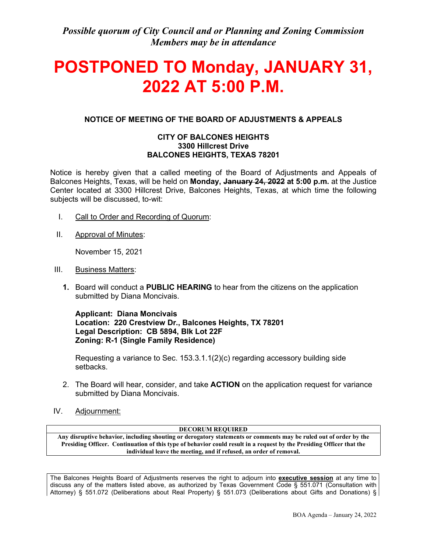*Possible quorum of City Council and or Planning and Zoning Commission Members may be in attendance*

# **POSTPONED TO Monday, JANUARY 31, 2022 AT 5:00 P.M.**

# **NOTICE OF MEETING OF THE BOARD OF ADJUSTMENTS & APPEALS**

## **CITY OF BALCONES HEIGHTS 3300 Hillcrest Drive BALCONES HEIGHTS, TEXAS 78201**

Notice is hereby given that a called meeting of the Board of Adjustments and Appeals of Balcones Heights, Texas, will be held on **Monday, January 24, 2022 at 5:00 p.m.** at the Justice Center located at 3300 Hillcrest Drive, Balcones Heights, Texas, at which time the following subjects will be discussed, to-wit:

- I. Call to Order and Recording of Quorum:
- II. Approval of Minutes:

November 15, 2021

- III. Business Matters:
	- **1.** Board will conduct a **PUBLIC HEARING** to hear from the citizens on the application submitted by Diana Moncivais.

**Applicant: Diana Moncivais Location: 220 Crestview Dr., Balcones Heights, TX 78201 Legal Description: CB 5894, Blk Lot 22F Zoning: R-1 (Single Family Residence)**

Requesting a variance to Sec.  $153.3.1.1(2)(c)$  regarding accessory building side setbacks.

- 2. The Board will hear, consider, and take **ACTION** on the application request for variance submitted by Diana Moncivais.
- IV. Adjournment:

**DECORUM REQUIRED**

**Any disruptive behavior, including shouting or derogatory statements or comments may be ruled out of order by the Presiding Officer. Continuation of this type of behavior could result in a request by the Presiding Officer that the individual leave the meeting, and if refused, an order of removal.**

The Balcones Heights Board of Adjustments reserves the right to adjourn into **executive session** at any time to discuss any of the matters listed above, as authorized by Texas Government Code § 551.071 (Consultation with Attorney) § 551.072 (Deliberations about Real Property) § 551.073 (Deliberations about Gifts and Donations) §